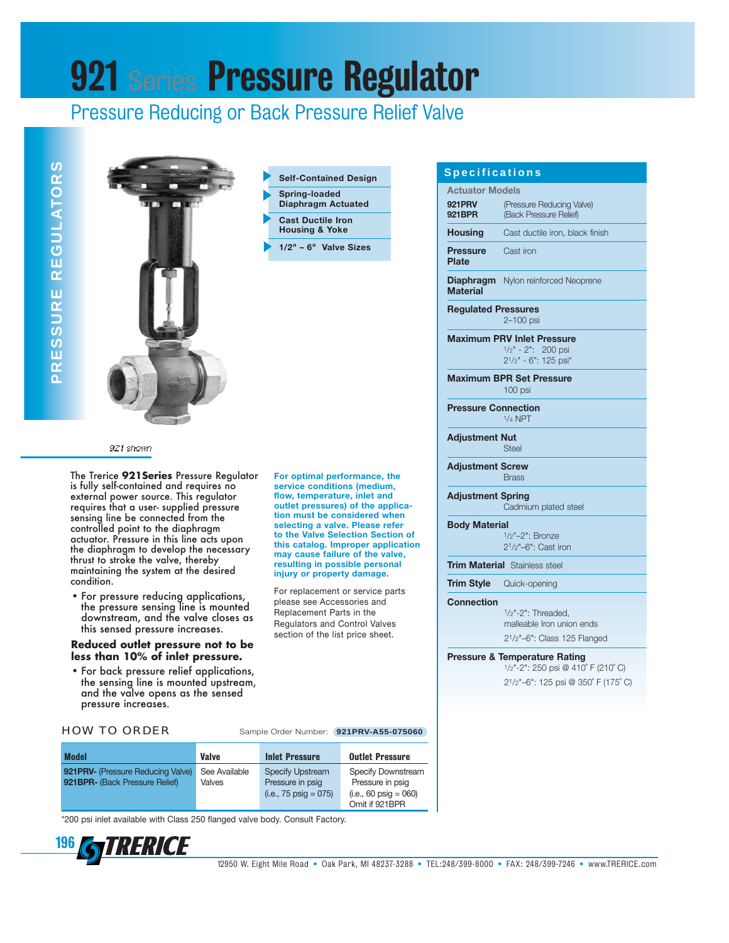# **921 Series Pressure Regulator**

### Pressure Reducing or Back Pressure Relief Valve





**Self-Contained Design Spring-loaded Diaphragm Actuated Cast Ductile Iron Housing & Yoke**

**1/2" – 6" Valve Sizes**

#### 921 shown

The Trerice **921Series** Pressure Regulator is fully self-contained and requires no external power source. This regulator requires that a user- supplied pressure sensing line be connected from the controlled point to the diaphragm actuator. Pressure in this line acts upon the diaphragm to develop the necessary thrust to stroke the valve, thereby maintaining the system at the desired condition.

• For pressure reducing applications, the pressure sensing line is mounted downstream, and the valve closes as this sensed pressure increases.

#### **Reduced outlet pressure not to be less than 10% of inlet pressure.**

• For back pressure relief applications, the sensing line is mounted upstream, and the valve opens as the sensed pressure increases.

HOW TO ORDER Sample Order Number: **921PRV-A55-075060**

**For optimal performance, the service conditions (medium, flow, temperature, inlet and outlet pressures) of the application must be considered when selecting a valve. Please refer to the Valve Selection Section of this catalog. Improper application may cause failure of the valve, resulting in possible personal injury or property damage.** For replacement or service parts please see Accessories and Replacement Parts in the Regulators and Control Valves section of the list price sheet.

| <b>Model</b>                       | <b>Valve</b>  | <b>Inlet Pressure</b>           | <b>Outlet Pressure</b>          |  |  |
|------------------------------------|---------------|---------------------------------|---------------------------------|--|--|
| 921 PRV- (Pressure Reducing Valve) | See Available | <b>Specify Upstream</b>         | Specify Downstream              |  |  |
| 921BPR- (Back Pressure Relief)     | Valves        | Pressure in psig                | Pressure in psig                |  |  |
|                                    |               | $(i.e., 75 \text{ psiq} = 075)$ | $(i.e., 60 \text{ psiq} = 060)$ |  |  |
|                                    |               |                                 | Omit if 921BPR                  |  |  |

\*200 psi inlet available with Class 250 flanged valve body. Consult Factory.

196GIRENCE

#### **Specifications**

|                                 | <b>Actuator Models</b>                              |  |  |  |  |  |  |
|---------------------------------|-----------------------------------------------------|--|--|--|--|--|--|
| <b>921PRV</b><br>921BPR         | (Pressure Reducing Valve)<br>(Back Pressure Relief) |  |  |  |  |  |  |
| <b>Housing</b>                  | Cast ductile iron, black finish                     |  |  |  |  |  |  |
| <b>Pressure</b><br><b>Plate</b> | Cast iron                                           |  |  |  |  |  |  |

**Diaphragm** Nylon reinforced Neoprene **Material**

**Regulated Pressures** 2–100 psi

**Maximum PRV Inlet Pressure**  $1/2$ " - 2": 200 psi 21/2" - 6": 125 psi\*

**Maximum BPR Set Pressure** 100 psi

**Pressure Connection** 1/4 NPT

**Adjustment Nut Steel** 

**Adjustment Screw** Brass

**Adjustment Spring** Cadmium plated steel

#### **Body Material**

1/2"–2": Bronze 21/2"–6": Cast iron

**Trim Material Stainless steel** 

**Trim Style** Quick-opening

**Connection**

1/2"-2": Threaded, malleable Iron union ends 21/2"–6": Class 125 Flanged

#### **Pressure & Temperature Rating**

1/2"-2": 250 psi @ 410˚ F (210˚ C) 21/2"–6": 125 psi @ 350˚ F (175˚ C)

12950 W. Eight Mile Road • Oak Park, MI 48237-3288 • TEL:248/399-8000 • FAX: 248/399-7246 • www.TRERICE.com